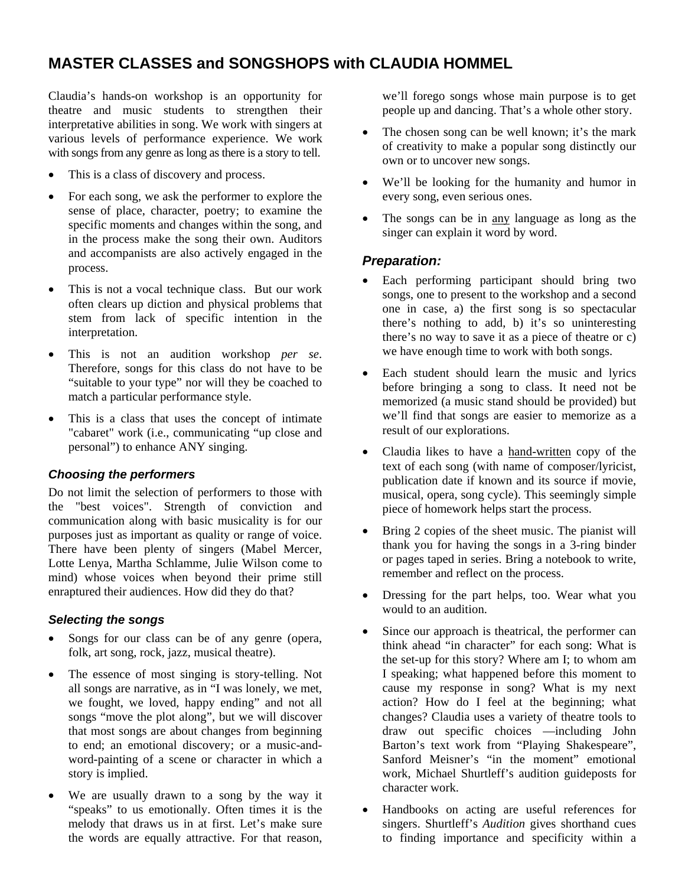# **MASTER CLASSES and SONGSHOPS with CLAUDIA HOMMEL**

Claudia's hands-on workshop is an opportunity for theatre and music students to strengthen their interpretative abilities in song. We work with singers at various levels of performance experience. We work with songs from any genre as long as there is a story to tell.

- This is a class of discovery and process.
- For each song, we ask the performer to explore the sense of place, character, poetry; to examine the specific moments and changes within the song, and in the process make the song their own. Auditors and accompanists are also actively engaged in the process.
- This is not a vocal technique class. But our work often clears up diction and physical problems that stem from lack of specific intention in the interpretation.
- This is not an audition workshop *per se*. Therefore, songs for this class do not have to be "suitable to your type" nor will they be coached to match a particular performance style.
- This is a class that uses the concept of intimate "cabaret" work (i.e., communicating "up close and personal") to enhance ANY singing.

### *Choosing the performers*

Do not limit the selection of performers to those with the "best voices". Strength of conviction and communication along with basic musicality is for our purposes just as important as quality or range of voice. There have been plenty of singers (Mabel Mercer, Lotte Lenya, Martha Schlamme, Julie Wilson come to mind) whose voices when beyond their prime still enraptured their audiences. How did they do that?

#### *Selecting the songs*

- Songs for our class can be of any genre (opera, folk, art song, rock, jazz, musical theatre).
- The essence of most singing is story-telling. Not all songs are narrative, as in "I was lonely, we met, we fought, we loved, happy ending" and not all songs "move the plot along", but we will discover that most songs are about changes from beginning to end; an emotional discovery; or a music-andword-painting of a scene or character in which a story is implied.
- We are usually drawn to a song by the way it "speaks" to us emotionally. Often times it is the melody that draws us in at first. Let's make sure the words are equally attractive. For that reason,

we'll forego songs whose main purpose is to get people up and dancing. That's a whole other story.

- The chosen song can be well known; it's the mark of creativity to make a popular song distinctly our own or to uncover new songs.
- We'll be looking for the humanity and humor in every song, even serious ones.
- The songs can be in any language as long as the singer can explain it word by word.

### *Preparation:*

- Each performing participant should bring two songs, one to present to the workshop and a second one in case, a) the first song is so spectacular there's nothing to add, b) it's so uninteresting there's no way to save it as a piece of theatre or c) we have enough time to work with both songs.
- Each student should learn the music and lyrics before bringing a song to class. It need not be memorized (a music stand should be provided) but we'll find that songs are easier to memorize as a result of our explorations.
- Claudia likes to have a hand-written copy of the text of each song (with name of composer/lyricist, publication date if known and its source if movie, musical, opera, song cycle). This seemingly simple piece of homework helps start the process.
- Bring 2 copies of the sheet music. The pianist will thank you for having the songs in a 3-ring binder or pages taped in series. Bring a notebook to write, remember and reflect on the process.
- Dressing for the part helps, too. Wear what you would to an audition.
- Since our approach is theatrical, the performer can think ahead "in character" for each song: What is the set-up for this story? Where am I; to whom am I speaking; what happened before this moment to cause my response in song? What is my next action? How do I feel at the beginning; what changes? Claudia uses a variety of theatre tools to draw out specific choices —including John Barton's text work from "Playing Shakespeare", Sanford Meisner's "in the moment" emotional work, Michael Shurtleff's audition guideposts for character work.
- Handbooks on acting are useful references for singers. Shurtleff's *Audition* gives shorthand cues to finding importance and specificity within a